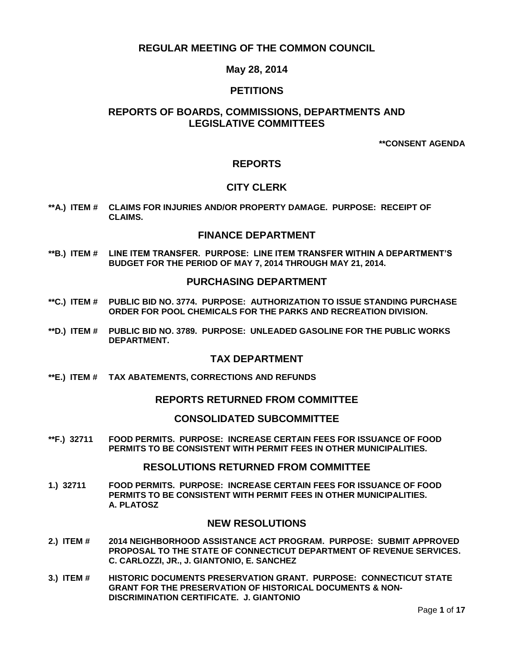# **REGULAR MEETING OF THE COMMON COUNCIL**

## **May 28, 2014**

## **PETITIONS**

# **REPORTS OF BOARDS, COMMISSIONS, DEPARTMENTS AND LEGISLATIVE COMMITTEES**

**\*\*CONSENT AGENDA**

## **REPORTS**

## **CITY CLERK**

**\*\*A.) ITEM # [CLAIMS FOR INJURIES AND/OR PROPERTY DAMAGE. PURPOSE: RECEIPT OF](#page-2-0) [CLAIMS.](#page-2-0)**

## **FINANCE DEPARTMENT**

**\*\*B.) ITEM # [LINE ITEM TRANSFER. PURPOSE: LINE ITEM TRANSFER WITHIN A DEPARTMENT'S](#page-2-1)  [BUDGET FOR THE PERIOD OF MAY 7, 2014 THROUGH MAY 21, 2014.](#page-2-1)**

## **PURCHASING DEPARTMENT**

- **\*\*C.) ITEM # [PUBLIC BID NO. 3774. PURPOSE: AUTHORIZATION TO ISSUE STANDING PURCHASE](#page-3-0)  [ORDER FOR POOL CHEMICALS FOR THE PARKS AND RECREATION DIVISION.](#page-3-0)**
- **\*\*D.) ITEM # [PUBLIC BID NO. 3789. PURPOSE: UNLEADED GASOLINE FOR THE PUBLIC WORKS](#page-4-0)  [DEPARTMENT.](#page-4-0)**

## **TAX DEPARTMENT**

**\*\*E.) ITEM # [TAX ABATEMENTS, CORRECTIONS AND REFUNDS](#page-4-1)**

### **REPORTS RETURNED FROM COMMITTEE**

### **CONSOLIDATED SUBCOMMITTEE**

**\*\*F.) 32711 [FOOD PERMITS. PURPOSE: INCREASE CERTAIN FEES FOR ISSUANCE OF FOOD](#page-5-0)  [PERMITS TO BE CONSISTENT WITH PERMIT FEES IN OTHER MUNICIPALITIES.](#page-5-0)**

### **RESOLUTIONS RETURNED FROM COMMITTEE**

**1.) 32711 [FOOD PERMITS. PURPOSE: INCREASE CERTAIN FEES FOR ISSUANCE OF FOOD](#page-5-1)  [PERMITS TO BE CONSISTENT WITH PERMIT FEES IN OTHER MUNICIPALITIES.](#page-5-1) [A. PLATOSZ](#page-5-1)**

## **NEW RESOLUTIONS**

- **2.) ITEM # [2014 NEIGHBORHOOD ASSISTANCE ACT PROGRAM. PURPOSE: SUBMIT APPROVED](#page-7-0)  [PROPOSAL TO THE STATE OF CONNECTICUT DEPARTMENT OF REVENUE SERVICES.](#page-7-0)  [C. CARLOZZI, JR., J. GIANTONIO, E. SANCHEZ](#page-7-0)**
- **3.) ITEM # [HISTORIC DOCUMENTS PRESERVATION GRANT. PURPOSE: CONNECTICUT STATE](#page-7-1)  [GRANT FOR THE PRESERVATION OF HISTORICAL DOCUMENTS & NON-](#page-7-1)[DISCRIMINATION CERTIFICATE. J. GIANTONIO](#page-7-1)**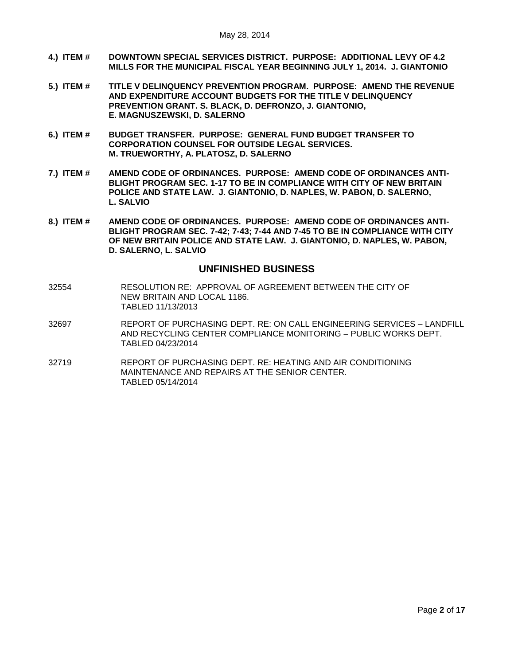- **4.) ITEM # [DOWNTOWN SPECIAL SERVICES DISTRICT. PURPOSE: ADDITIONAL LEVY OF 4.2](#page-8-0)  [MILLS FOR THE MUNICIPAL FISCAL YEAR BEGINNING JULY 1, 2014. J. GIANTONIO](#page-8-0)**
- **5.) ITEM # [TITLE V DELINQUENCY PREVENTION PROGRAM. PURPOSE: AMEND THE REVENUE](#page-8-1)  [AND EXPENDITURE ACCOUNT BUDGETS FOR THE TITLE V](#page-8-1) DELINQUENCY [PREVENTION GRANT. S. BLACK, D. DEFRONZO, J. GIANTONIO,](#page-8-1)  [E. MAGNUSZEWSKI, D. SALERNO](#page-8-1)**
- **6.) ITEM # [BUDGET TRANSFER. PURPOSE: GENERAL FUND BUDGET TRANSFER TO](#page-9-0)  [CORPORATION COUNSEL FOR OUTSIDE LEGAL SERVICES.](#page-9-0)  [M. TRUEWORTHY, A. PLATOSZ, D. SALERNO](#page-9-0)**
- **7.) ITEM # [AMEND CODE OF ORDINANCES. PURPOSE: AMEND CODE OF ORDINANCES ANTI-](#page-10-0)[BLIGHT PROGRAM SEC. 1-17 TO BE IN COMPLIANCE WITH CITY OF NEW BRITAIN](#page-10-0)  [POLICE AND STATE LAW. J. GIANTONIO, D. NAPLES, W. PABON, D. SALERNO,](#page-10-0)  [L. SALVIO](#page-10-0)**
- **8.) ITEM # [AMEND CODE OF ORDINANCES. PURPOSE: AMEND CODE OF ORDINANCES ANTI-](#page-12-0)[BLIGHT PROGRAM SEC. 7-42; 7-43; 7-44 AND 7-45 TO](#page-12-0) BE IN COMPLIANCE WITH CITY [OF NEW BRITAIN POLICE AND STATE LAW. J. GIANTONIO, D. NAPLES, W. PABON,](#page-12-0)  [D. SALERNO, L. SALVIO](#page-12-0)**

# **UNFINISHED BUSINESS**

- 32554 RESOLUTION RE: APPROVAL OF AGREEMENT BETWEEN THE CITY OF NEW BRITAIN AND LOCAL 1186. TABLED 11/13/2013
- 32697 REPORT OF PURCHASING DEPT. RE: ON CALL ENGINEERING SERVICES LANDFILL AND RECYCLING CENTER COMPLIANCE MONITORING – PUBLIC WORKS DEPT. TABLED 04/23/2014
- 32719 REPORT OF PURCHASING DEPT. RE: HEATING AND AIR CONDITIONING MAINTENANCE AND REPAIRS AT THE SENIOR CENTER. TABLED 05/14/2014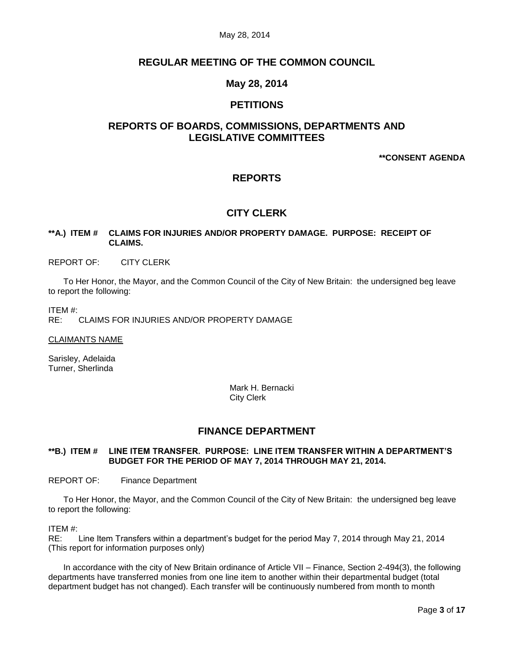# **REGULAR MEETING OF THE COMMON COUNCIL**

# **May 28, 2014**

# **PETITIONS**

# **REPORTS OF BOARDS, COMMISSIONS, DEPARTMENTS AND LEGISLATIVE COMMITTEES**

**\*\*CONSENT AGENDA**

# **REPORTS**

# **CITY CLERK**

## <span id="page-2-0"></span>**\*\*A.) ITEM # CLAIMS FOR INJURIES AND/OR PROPERTY DAMAGE. PURPOSE: RECEIPT OF CLAIMS.**

REPORT OF: CITY CLERK

To Her Honor, the Mayor, and the Common Council of the City of New Britain: the undersigned beg leave to report the following:

ITEM #:

RE: CLAIMS FOR INJURIES AND/OR PROPERTY DAMAGE

CLAIMANTS NAME

Sarisley, Adelaida Turner, Sherlinda

> Mark H. Bernacki City Clerk

## **FINANCE DEPARTMENT**

## <span id="page-2-1"></span>**\*\*B.) ITEM # LINE ITEM TRANSFER. PURPOSE: LINE ITEM TRANSFER WITHIN A DEPARTMENT'S BUDGET FOR THE PERIOD OF MAY 7, 2014 THROUGH MAY 21, 2014.**

REPORT OF: Finance Department

To Her Honor, the Mayor, and the Common Council of the City of New Britain: the undersigned beg leave to report the following:

ITEM #:

RE: Line Item Transfers within a department's budget for the period May 7, 2014 through May 21, 2014 (This report for information purposes only)

In accordance with the city of New Britain ordinance of Article VII – Finance, Section 2-494(3), the following departments have transferred monies from one line item to another within their departmental budget (total department budget has not changed). Each transfer will be continuously numbered from month to month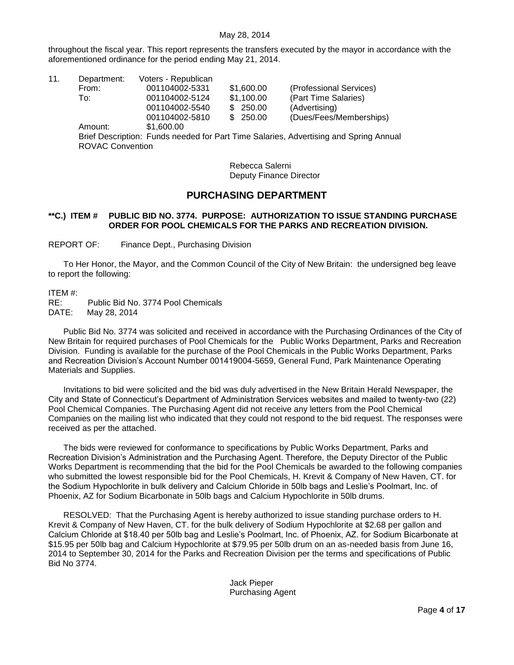throughout the fiscal year. This report represents the transfers executed by the mayor in accordance with the aforementioned ordinance for the period ending May 21, 2014.

| 11. | Department:                                                                           | Voters - Republican |            |                         |  |  |
|-----|---------------------------------------------------------------------------------------|---------------------|------------|-------------------------|--|--|
|     | From:                                                                                 | 001104002-5331      | \$1,600.00 | (Professional Services) |  |  |
|     | To:                                                                                   | 001104002-5124      | \$1,100.00 | (Part Time Salaries)    |  |  |
|     |                                                                                       | 001104002-5540      | \$250.00   | (Advertising)           |  |  |
|     |                                                                                       | 001104002-5810      | \$250.00   | (Dues/Fees/Memberships) |  |  |
|     | Amount:                                                                               | \$1,600.00          |            |                         |  |  |
|     | Brief Description: Funds needed for Part Time Salaries, Advertising and Spring Annual |                     |            |                         |  |  |
|     | <b>ROVAC Convention</b>                                                               |                     |            |                         |  |  |
|     |                                                                                       |                     |            |                         |  |  |

Rebecca Salerni Deputy Finance Director

# **PURCHASING DEPARTMENT**

## <span id="page-3-0"></span>**\*\*C.) ITEM # PUBLIC BID NO. 3774. PURPOSE: AUTHORIZATION TO ISSUE STANDING PURCHASE ORDER FOR POOL CHEMICALS FOR THE PARKS AND RECREATION DIVISION.**

REPORT OF: Finance Dept., Purchasing Division

To Her Honor, the Mayor, and the Common Council of the City of New Britain: the undersigned beg leave to report the following:

ITEM #:

RE: Public Bid No. 3774 Pool Chemicals DATE: May 28, 2014

Public Bid No. 3774 was solicited and received in accordance with the Purchasing Ordinances of the City of New Britain for required purchases of Pool Chemicals for the Public Works Department, Parks and Recreation Division. Funding is available for the purchase of the Pool Chemicals in the Public Works Department, Parks and Recreation Division's Account Number 001419004-5659, General Fund, Park Maintenance Operating Materials and Supplies.

Invitations to bid were solicited and the bid was duly advertised in the New Britain Herald Newspaper, the City and State of Connecticut's Department of Administration Services websites and mailed to twenty-two (22) Pool Chemical Companies. The Purchasing Agent did not receive any letters from the Pool Chemical Companies on the mailing list who indicated that they could not respond to the bid request. The responses were received as per the attached.

The bids were reviewed for conformance to specifications by Public Works Department, Parks and Recreation Division's Administration and the Purchasing Agent. Therefore, the Deputy Director of the Public Works Department is recommending that the bid for the Pool Chemicals be awarded to the following companies who submitted the lowest responsible bid for the Pool Chemicals, H. Krevit & Company of New Haven, CT. for the Sodium Hypochlorite in bulk delivery and Calcium Chloride in 50lb bags and Leslie's Poolmart, Inc. of Phoenix, AZ for Sodium Bicarbonate in 50lb bags and Calcium Hypochlorite in 50lb drums.

RESOLVED: That the Purchasing Agent is hereby authorized to issue standing purchase orders to H. Krevit & Company of New Haven, CT. for the bulk delivery of Sodium Hypochlorite at \$2.68 per gallon and Calcium Chloride at \$18.40 per 50lb bag and Leslie's Poolmart, Inc. of Phoenix, AZ. for Sodium Bicarbonate at \$15.95 per 50lb bag and Calcium Hypochlorite at \$79.95 per 50lb drum on an as-needed basis from June 16, 2014 to September 30, 2014 for the Parks and Recreation Division per the terms and specifications of Public Bid No 3774.

> Jack Pieper Purchasing Agent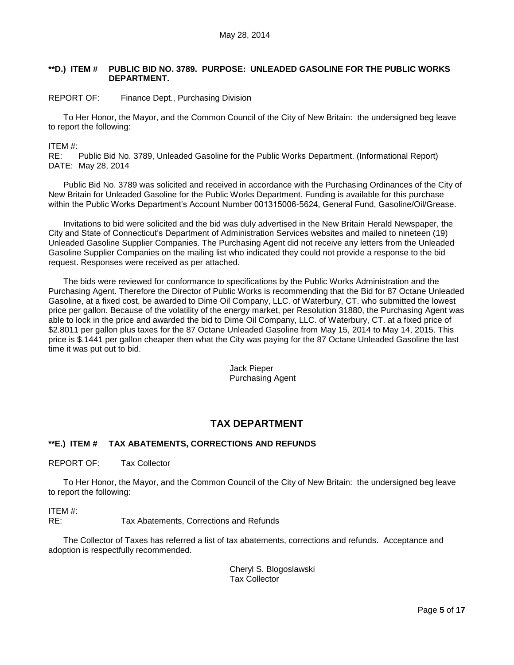### <span id="page-4-0"></span>**\*\*D.) ITEM # PUBLIC BID NO. 3789. PURPOSE: UNLEADED GASOLINE FOR THE PUBLIC WORKS DEPARTMENT.**

### REPORT OF: Finance Dept., Purchasing Division

To Her Honor, the Mayor, and the Common Council of the City of New Britain: the undersigned beg leave to report the following:

#### ITEM #:

RE: Public Bid No. 3789, Unleaded Gasoline for the Public Works Department. (Informational Report) DATE: May 28, 2014

Public Bid No. 3789 was solicited and received in accordance with the Purchasing Ordinances of the City of New Britain for Unleaded Gasoline for the Public Works Department. Funding is available for this purchase within the Public Works Department's Account Number 001315006-5624, General Fund, Gasoline/Oil/Grease.

Invitations to bid were solicited and the bid was duly advertised in the New Britain Herald Newspaper, the City and State of Connecticut's Department of Administration Services websites and mailed to nineteen (19) Unleaded Gasoline Supplier Companies. The Purchasing Agent did not receive any letters from the Unleaded Gasoline Supplier Companies on the mailing list who indicated they could not provide a response to the bid request. Responses were received as per attached.

The bids were reviewed for conformance to specifications by the Public Works Administration and the Purchasing Agent. Therefore the Director of Public Works is recommending that the Bid for 87 Octane Unleaded Gasoline, at a fixed cost, be awarded to Dime Oil Company, LLC. of Waterbury, CT. who submitted the lowest price per gallon. Because of the volatility of the energy market, per Resolution 31880, the Purchasing Agent was able to lock in the price and awarded the bid to Dime Oil Company, LLC. of Waterbury, CT. at a fixed price of \$2.8011 per gallon plus taxes for the 87 Octane Unleaded Gasoline from May 15, 2014 to May 14, 2015. This price is \$.1441 per gallon cheaper then what the City was paying for the 87 Octane Unleaded Gasoline the last time it was put out to bid.

> Jack Pieper Purchasing Agent

# **TAX DEPARTMENT**

## <span id="page-4-1"></span>**\*\*E.) ITEM # TAX ABATEMENTS, CORRECTIONS AND REFUNDS**

REPORT OF: Tax Collector

To Her Honor, the Mayor, and the Common Council of the City of New Britain: the undersigned beg leave to report the following:

ITEM #:

RE: Tax Abatements, Corrections and Refunds

The Collector of Taxes has referred a list of tax abatements, corrections and refunds. Acceptance and adoption is respectfully recommended.

> Cheryl S. Blogoslawski Tax Collector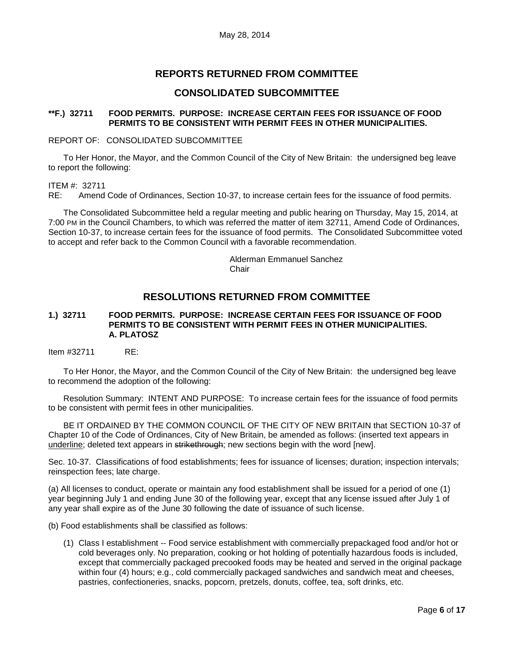# **REPORTS RETURNED FROM COMMITTEE**

# **CONSOLIDATED SUBCOMMITTEE**

## <span id="page-5-0"></span>**\*\*F.) 32711 FOOD PERMITS. PURPOSE: INCREASE CERTAIN FEES FOR ISSUANCE OF FOOD PERMITS TO BE CONSISTENT WITH PERMIT FEES IN OTHER MUNICIPALITIES.**

### REPORT OF: CONSOLIDATED SUBCOMMITTEE

To Her Honor, the Mayor, and the Common Council of the City of New Britain: the undersigned beg leave to report the following:

ITEM #: 32711

RE: Amend Code of Ordinances, Section 10-37, to increase certain fees for the issuance of food permits.

The Consolidated Subcommittee held a regular meeting and public hearing on Thursday, May 15, 2014, at 7:00 PM in the Council Chambers, to which was referred the matter of item 32711, Amend Code of Ordinances, Section 10-37, to increase certain fees for the issuance of food permits. The Consolidated Subcommittee voted to accept and refer back to the Common Council with a favorable recommendation.

> Alderman Emmanuel Sanchez **Chair**

# **RESOLUTIONS RETURNED FROM COMMITTEE**

## <span id="page-5-1"></span>**1.) 32711 FOOD PERMITS. PURPOSE: INCREASE CERTAIN FEES FOR ISSUANCE OF FOOD PERMITS TO BE CONSISTENT WITH PERMIT FEES IN OTHER MUNICIPALITIES. A. PLATOSZ**

Item #32711 RE:

To Her Honor, the Mayor, and the Common Council of the City of New Britain: the undersigned beg leave to recommend the adoption of the following:

Resolution Summary: INTENT AND PURPOSE: To increase certain fees for the issuance of food permits to be consistent with permit fees in other municipalities.

BE IT ORDAINED BY THE COMMON COUNCIL OF THE CITY OF NEW BRITAIN that SECTION 10-37 of Chapter 10 of the Code of Ordinances, City of New Britain, be amended as follows: (inserted text appears in underline; deleted text appears in strikethrough; new sections begin with the word [new].

Sec. 10-37. Classifications of food establishments; fees for issuance of licenses; duration; inspection intervals; reinspection fees; late charge.

(a) All licenses to conduct, operate or maintain any food establishment shall be issued for a period of one (1) year beginning July 1 and ending June 30 of the following year, except that any license issued after July 1 of any year shall expire as of the June 30 following the date of issuance of such license.

(b) Food establishments shall be classified as follows:

(1) Class I establishment -- Food service establishment with commercially prepackaged food and/or hot or cold beverages only. No preparation, cooking or hot holding of potentially hazardous foods is included, except that commercially packaged precooked foods may be heated and served in the original package within four (4) hours; e.g., cold commercially packaged sandwiches and sandwich meat and cheeses, pastries, confectioneries, snacks, popcorn, pretzels, donuts, coffee, tea, soft drinks, etc.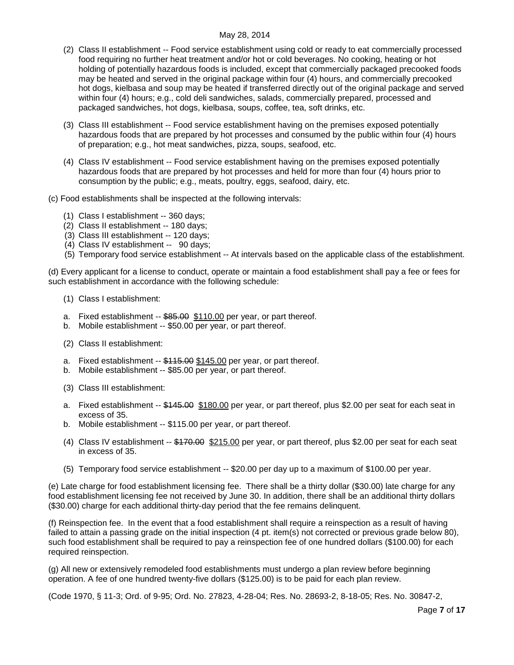- (2) Class II establishment -- Food service establishment using cold or ready to eat commercially processed food requiring no further heat treatment and/or hot or cold beverages. No cooking, heating or hot holding of potentially hazardous foods is included, except that commercially packaged precooked foods may be heated and served in the original package within four (4) hours, and commercially precooked hot dogs, kielbasa and soup may be heated if transferred directly out of the original package and served within four (4) hours; e.g., cold deli sandwiches, salads, commercially prepared, processed and packaged sandwiches, hot dogs, kielbasa, soups, coffee, tea, soft drinks, etc.
- (3) Class III establishment -- Food service establishment having on the premises exposed potentially hazardous foods that are prepared by hot processes and consumed by the public within four (4) hours of preparation; e.g., hot meat sandwiches, pizza, soups, seafood, etc.
- (4) Class IV establishment -- Food service establishment having on the premises exposed potentially hazardous foods that are prepared by hot processes and held for more than four (4) hours prior to consumption by the public; e.g., meats, poultry, eggs, seafood, dairy, etc.

### (c) Food establishments shall be inspected at the following intervals:

- (1) Class I establishment -- 360 days;
- (2) Class II establishment -- 180 days;
- (3) Class III establishment -- 120 days;
- (4) Class IV establishment -- 90 days;
- (5) Temporary food service establishment -- At intervals based on the applicable class of the establishment.

(d) Every applicant for a license to conduct, operate or maintain a food establishment shall pay a fee or fees for such establishment in accordance with the following schedule:

- (1) Class I establishment:
- a. Fixed establishment -- \$85.00 \$110.00 per year, or part thereof.
- b. Mobile establishment -- \$50.00 per year, or part thereof.
- (2) Class II establishment:
- a. Fixed establishment -- \$115.00 \$145.00 per year, or part thereof.
- b. Mobile establishment -- \$85.00 per year, or part thereof.
- (3) Class III establishment:
- a. Fixed establishment -- \$145.00 \$180.00 per year, or part thereof, plus \$2.00 per seat for each seat in excess of 35.
- b. Mobile establishment -- \$115.00 per year, or part thereof.
- (4) Class IV establishment -- \$170.00 \$215.00 per year, or part thereof, plus \$2.00 per seat for each seat in excess of 35.
- (5) Temporary food service establishment -- \$20.00 per day up to a maximum of \$100.00 per year.

(e) Late charge for food establishment licensing fee. There shall be a thirty dollar (\$30.00) late charge for any food establishment licensing fee not received by June 30. In addition, there shall be an additional thirty dollars (\$30.00) charge for each additional thirty-day period that the fee remains delinquent.

(f) Reinspection fee. In the event that a food establishment shall require a reinspection as a result of having failed to attain a passing grade on the initial inspection (4 pt. item(s) not corrected or previous grade below 80), such food establishment shall be required to pay a reinspection fee of one hundred dollars (\$100.00) for each required reinspection.

(g) All new or extensively remodeled food establishments must undergo a plan review before beginning operation. A fee of one hundred twenty-five dollars (\$125.00) is to be paid for each plan review.

(Code 1970, § 11-3; Ord. of 9-95; Ord. No. 27823, 4-28-04; Res. No. 28693-2, 8-18-05; Res. No. 30847-2,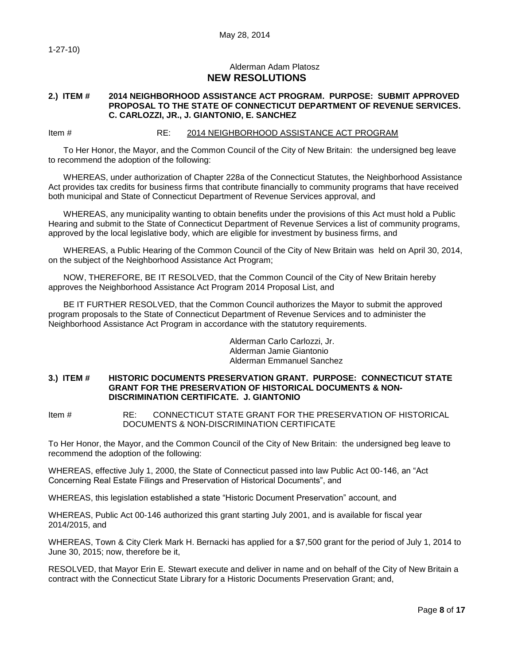1-27-10)

## Alderman Adam Platosz **NEW RESOLUTIONS**

## <span id="page-7-0"></span>**2.) ITEM # 2014 NEIGHBORHOOD ASSISTANCE ACT PROGRAM. PURPOSE: SUBMIT APPROVED PROPOSAL TO THE STATE OF CONNECTICUT DEPARTMENT OF REVENUE SERVICES. C. CARLOZZI, JR., J. GIANTONIO, E. SANCHEZ**

Item # RE: 2014 NEIGHBORHOOD ASSISTANCE ACT PROGRAM

To Her Honor, the Mayor, and the Common Council of the City of New Britain: the undersigned beg leave to recommend the adoption of the following:

WHEREAS, under authorization of Chapter 228a of the Connecticut Statutes, the Neighborhood Assistance Act provides tax credits for business firms that contribute financially to community programs that have received both municipal and State of Connecticut Department of Revenue Services approval, and

WHEREAS, any municipality wanting to obtain benefits under the provisions of this Act must hold a Public Hearing and submit to the State of Connecticut Department of Revenue Services a list of community programs, approved by the local legislative body, which are eligible for investment by business firms, and

WHEREAS, a Public Hearing of the Common Council of the City of New Britain was held on April 30, 2014, on the subject of the Neighborhood Assistance Act Program;

NOW, THEREFORE, BE IT RESOLVED, that the Common Council of the City of New Britain hereby approves the Neighborhood Assistance Act Program 2014 Proposal List, and

BE IT FURTHER RESOLVED, that the Common Council authorizes the Mayor to submit the approved program proposals to the State of Connecticut Department of Revenue Services and to administer the Neighborhood Assistance Act Program in accordance with the statutory requirements.

> Alderman Carlo Carlozzi, Jr. Alderman Jamie Giantonio Alderman Emmanuel Sanchez

<span id="page-7-1"></span>**3.) ITEM # HISTORIC DOCUMENTS PRESERVATION GRANT. PURPOSE: CONNECTICUT STATE GRANT FOR THE PRESERVATION OF HISTORICAL DOCUMENTS & NON-DISCRIMINATION CERTIFICATE. J. GIANTONIO**

Item # RE: CONNECTICUT STATE GRANT FOR THE PRESERVATION OF HISTORICAL DOCUMENTS & NON-DISCRIMINATION CERTIFICATE

To Her Honor, the Mayor, and the Common Council of the City of New Britain: the undersigned beg leave to recommend the adoption of the following:

WHEREAS, effective July 1, 2000, the State of Connecticut passed into law Public Act 00-146, an "Act Concerning Real Estate Filings and Preservation of Historical Documents", and

WHEREAS, this legislation established a state "Historic Document Preservation" account, and

WHEREAS, Public Act 00-146 authorized this grant starting July 2001, and is available for fiscal year 2014/2015, and

WHEREAS, Town & City Clerk Mark H. Bernacki has applied for a \$7,500 grant for the period of July 1, 2014 to June 30, 2015; now, therefore be it,

RESOLVED, that Mayor Erin E. Stewart execute and deliver in name and on behalf of the City of New Britain a contract with the Connecticut State Library for a Historic Documents Preservation Grant; and,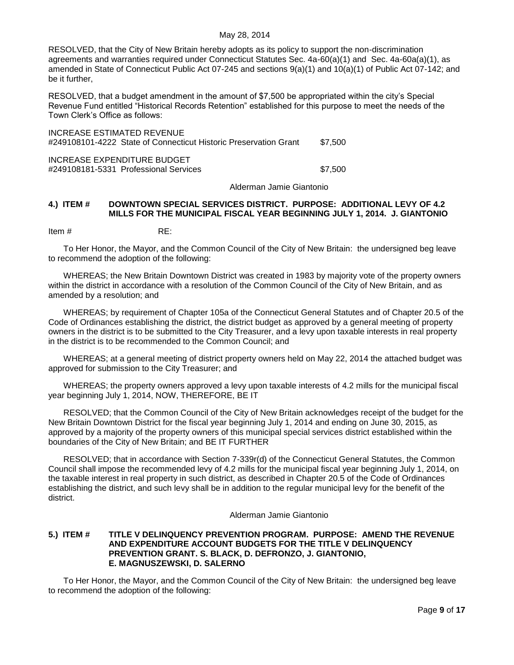RESOLVED, that the City of New Britain hereby adopts as its policy to support the non-discrimination agreements and warranties required under Connecticut Statutes Sec. 4a-60(a)(1) and Sec. 4a-60a(a)(1), as amended in State of Connecticut Public Act 07-245 and sections 9(a)(1) and 10(a)(1) of Public Act 07-142; and be it further,

RESOLVED, that a budget amendment in the amount of \$7,500 be appropriated within the city's Special Revenue Fund entitled "Historical Records Retention" established for this purpose to meet the needs of the Town Clerk's Office as follows:

INCREASE ESTIMATED REVENUE #249108101-4222 State of Connecticut Historic Preservation Grant \$7,500 INCREASE EXPENDITURE BUDGET

#249108181-5331 Professional Services \$7,500

Alderman Jamie Giantonio

### <span id="page-8-0"></span>**4.) ITEM # DOWNTOWN SPECIAL SERVICES DISTRICT. PURPOSE: ADDITIONAL LEVY OF 4.2 MILLS FOR THE MUNICIPAL FISCAL YEAR BEGINNING JULY 1, 2014. J. GIANTONIO**

Item # RE:

To Her Honor, the Mayor, and the Common Council of the City of New Britain: the undersigned beg leave to recommend the adoption of the following:

WHEREAS; the New Britain Downtown District was created in 1983 by majority vote of the property owners within the district in accordance with a resolution of the Common Council of the City of New Britain, and as amended by a resolution; and

WHEREAS; by requirement of Chapter 105a of the Connecticut General Statutes and of Chapter 20.5 of the Code of Ordinances establishing the district, the district budget as approved by a general meeting of property owners in the district is to be submitted to the City Treasurer, and a levy upon taxable interests in real property in the district is to be recommended to the Common Council; and

WHEREAS; at a general meeting of district property owners held on May 22, 2014 the attached budget was approved for submission to the City Treasurer; and

WHEREAS; the property owners approved a levy upon taxable interests of 4.2 mills for the municipal fiscal year beginning July 1, 2014, NOW, THEREFORE, BE IT

RESOLVED; that the Common Council of the City of New Britain acknowledges receipt of the budget for the New Britain Downtown District for the fiscal year beginning July 1, 2014 and ending on June 30, 2015, as approved by a majority of the property owners of this municipal special services district established within the boundaries of the City of New Britain; and BE IT FURTHER

RESOLVED; that in accordance with Section 7-339r(d) of the Connecticut General Statutes, the Common Council shall impose the recommended levy of 4.2 mills for the municipal fiscal year beginning July 1, 2014, on the taxable interest in real property in such district, as described in Chapter 20.5 of the Code of Ordinances establishing the district, and such levy shall be in addition to the regular municipal levy for the benefit of the district.

#### Alderman Jamie Giantonio

### <span id="page-8-1"></span>**5.) ITEM # TITLE V DELINQUENCY PREVENTION PROGRAM. PURPOSE: AMEND THE REVENUE AND EXPENDITURE ACCOUNT BUDGETS FOR THE TITLE V DELINQUENCY PREVENTION GRANT. S. BLACK, D. DEFRONZO, J. GIANTONIO, E. MAGNUSZEWSKI, D. SALERNO**

To Her Honor, the Mayor, and the Common Council of the City of New Britain: the undersigned beg leave to recommend the adoption of the following: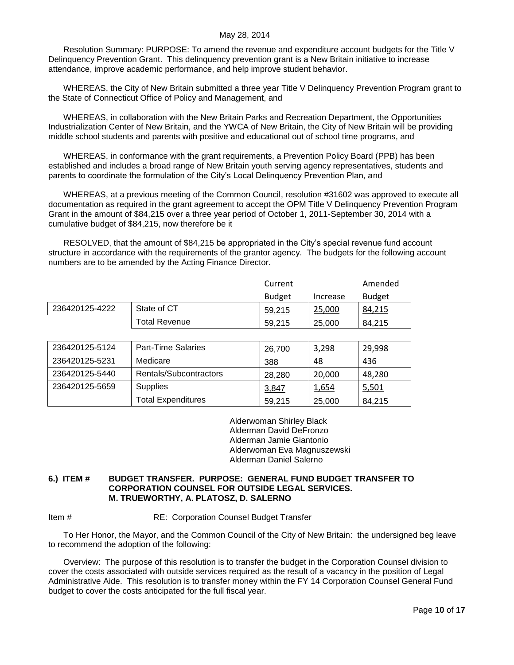Resolution Summary: PURPOSE: To amend the revenue and expenditure account budgets for the Title V Delinquency Prevention Grant. This delinquency prevention grant is a New Britain initiative to increase attendance, improve academic performance, and help improve student behavior.

WHEREAS, the City of New Britain submitted a three year Title V Delinquency Prevention Program grant to the State of Connecticut Office of Policy and Management, and

WHEREAS, in collaboration with the New Britain Parks and Recreation Department, the Opportunities Industrialization Center of New Britain, and the YWCA of New Britain, the City of New Britain will be providing middle school students and parents with positive and educational out of school time programs, and

WHEREAS, in conformance with the grant requirements, a Prevention Policy Board (PPB) has been established and includes a broad range of New Britain youth serving agency representatives, students and parents to coordinate the formulation of the City's Local Delinquency Prevention Plan, and

WHEREAS, at a previous meeting of the Common Council, resolution #31602 was approved to execute all documentation as required in the grant agreement to accept the OPM Title V Delinquency Prevention Program Grant in the amount of \$84,215 over a three year period of October 1, 2011-September 30, 2014 with a cumulative budget of \$84,215, now therefore be it

RESOLVED, that the amount of \$84,215 be appropriated in the City's special revenue fund account structure in accordance with the requirements of the grantor agency. The budgets for the following account numbers are to be amended by the Acting Finance Director.

|                |                      | Current       |          | Amended       |
|----------------|----------------------|---------------|----------|---------------|
|                |                      | <b>Budget</b> | Increase | <b>Budget</b> |
| 236420125-4222 | State of CT          | 59,215        | 25.000   | 84.215        |
|                | <b>Total Revenue</b> | 59.215        | 25,000   | 84.215        |

| 236420125-5124 | <b>Part-Time Salaries</b> | 26,700 | 3,298  | 29,998 |
|----------------|---------------------------|--------|--------|--------|
| 236420125-5231 | Medicare                  | 388    | 48     | 436    |
| 236420125-5440 | Rentals/Subcontractors    | 28.280 | 20,000 | 48,280 |
| 236420125-5659 | Supplies                  | 3,847  | 1,654  | 5,501  |
|                | <b>Total Expenditures</b> | 59,215 | 25,000 | 84.215 |

Alderwoman Shirley Black Alderman David DeFronzo Alderman Jamie Giantonio Alderwoman Eva Magnuszewski Alderman Daniel Salerno

### <span id="page-9-0"></span>**6.) ITEM # BUDGET TRANSFER. PURPOSE: GENERAL FUND BUDGET TRANSFER TO CORPORATION COUNSEL FOR OUTSIDE LEGAL SERVICES. M. TRUEWORTHY, A. PLATOSZ, D. SALERNO**

## Item # RE: Corporation Counsel Budget Transfer

To Her Honor, the Mayor, and the Common Council of the City of New Britain: the undersigned beg leave to recommend the adoption of the following:

Overview: The purpose of this resolution is to transfer the budget in the Corporation Counsel division to cover the costs associated with outside services required as the result of a vacancy in the position of Legal Administrative Aide. This resolution is to transfer money within the FY 14 Corporation Counsel General Fund budget to cover the costs anticipated for the full fiscal year.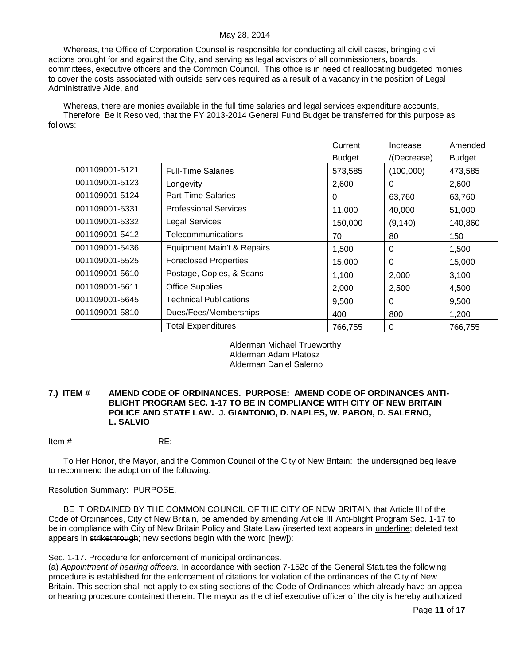Whereas, the Office of Corporation Counsel is responsible for conducting all civil cases, bringing civil actions brought for and against the City, and serving as legal advisors of all commissioners, boards, committees, executive officers and the Common Council. This office is in need of reallocating budgeted monies to cover the costs associated with outside services required as a result of a vacancy in the position of Legal Administrative Aide, and

Whereas, there are monies available in the full time salaries and legal services expenditure accounts, Therefore, Be it Resolved, that the FY 2013-2014 General Fund Budget be transferred for this purpose as follows:

|                |                               | Current       | Increase    | Amended       |
|----------------|-------------------------------|---------------|-------------|---------------|
|                |                               | <b>Budget</b> | /(Decrease) | <b>Budget</b> |
| 001109001-5121 | <b>Full-Time Salaries</b>     | 573,585       | (100,000)   | 473,585       |
| 001109001-5123 | Longevity                     | 2,600         | 0           | 2,600         |
| 001109001-5124 | <b>Part-Time Salaries</b>     | 0             | 63,760      | 63,760        |
| 001109001-5331 | <b>Professional Services</b>  | 11,000        | 40,000      | 51,000        |
| 001109001-5332 | <b>Legal Services</b>         | 150,000       | (9, 140)    | 140,860       |
| 001109001-5412 | Telecommunications            | 70            | 80          | 150           |
| 001109001-5436 | Equipment Main't & Repairs    | 1,500         | 0           | 1,500         |
| 001109001-5525 | <b>Foreclosed Properties</b>  | 15,000        | 0           | 15,000        |
| 001109001-5610 | Postage, Copies, & Scans      | 1,100         | 2,000       | 3,100         |
| 001109001-5611 | <b>Office Supplies</b>        | 2,000         | 2,500       | 4,500         |
| 001109001-5645 | <b>Technical Publications</b> | 9,500         | 0           | 9,500         |
| 001109001-5810 | Dues/Fees/Memberships         | 400           | 800         | 1,200         |
|                | <b>Total Expenditures</b>     | 766,755       | 0           | 766,755       |

### Alderman Michael Trueworthy Alderman Adam Platosz Alderman Daniel Salerno

## <span id="page-10-0"></span>**7.) ITEM # AMEND CODE OF ORDINANCES. PURPOSE: AMEND CODE OF ORDINANCES ANTI-BLIGHT PROGRAM SEC. 1-17 TO BE IN COMPLIANCE WITH CITY OF NEW BRITAIN POLICE AND STATE LAW. J. GIANTONIO, D. NAPLES, W. PABON, D. SALERNO, L. SALVIO**

Item # RE:

To Her Honor, the Mayor, and the Common Council of the City of New Britain: the undersigned beg leave to recommend the adoption of the following:

### Resolution Summary: PURPOSE.

BE IT ORDAINED BY THE COMMON COUNCIL OF THE CITY OF NEW BRITAIN that Article III of the Code of Ordinances, City of New Britain, be amended by amending Article III Anti-blight Program Sec. 1-17 to be in compliance with City of New Britain Policy and State Law (inserted text appears in underline; deleted text appears in strikethrough; new sections begin with the word [new]):

Sec. 1-17. Procedure for enforcement of municipal ordinances.

(a) *Appointment of hearing officers.* In accordance with section 7-152c of the General Statutes the following procedure is established for the enforcement of citations for violation of the ordinances of the City of New Britain. This section shall not apply to existing sections of the Code of Ordinances which already have an appeal or hearing procedure contained therein. The mayor as the chief executive officer of the city is hereby authorized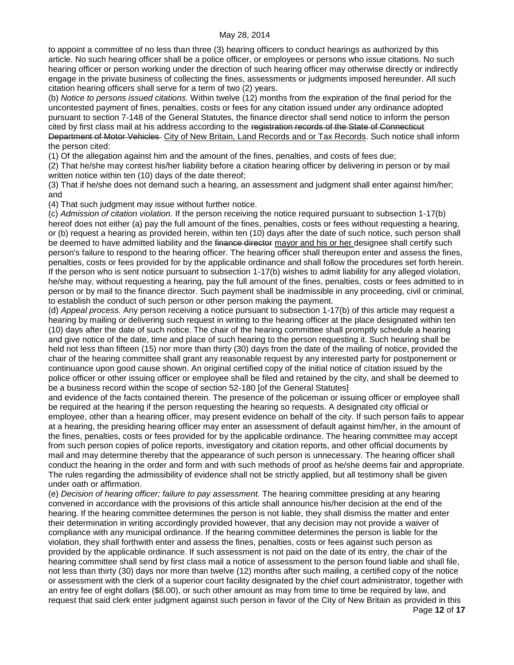to appoint a committee of no less than three (3) hearing officers to conduct hearings as authorized by this article. No such hearing officer shall be a police officer, or employees or persons who issue citations. No such hearing officer or person working under the direction of such hearing officer may otherwise directly or indirectly engage in the private business of collecting the fines, assessments or judgments imposed hereunder. All such citation hearing officers shall serve for a term of two (2) years.

(b) *Notice to persons issued citations.* Within twelve (12) months from the expiration of the final period for the uncontested payment of fines, penalties, costs or fees for any citation issued under any ordinance adopted pursuant to section 7-148 of the General Statutes, the finance director shall send notice to inform the person cited by first class mail at his address according to the registration records of the State of Connecticut Department of Motor Vehicles- City of New Britain, Land Records and or Tax Records. Such notice shall inform the person cited:

(1) Of the allegation against him and the amount of the fines, penalties, and costs of fees due;

(2) That he/she may contest his/her liability before a citation hearing officer by delivering in person or by mail written notice within ten (10) days of the date thereof;

(3) That if he/she does not demand such a hearing, an assessment and judgment shall enter against him/her; and

(4) That such judgment may issue without further notice.

(c) *Admission of citation violation.* If the person receiving the notice required pursuant to subsection 1-17(b) hereof does not either (a) pay the full amount of the fines, penalties, costs or fees without requesting a hearing, or (b) request a hearing as provided herein, within ten (10) days after the date of such notice, such person shall be deemed to have admitted liability and the finance director mayor and his or her designee shall certify such person's failure to respond to the hearing officer. The hearing officer shall thereupon enter and assess the fines, penalties, costs or fees provided for by the applicable ordinance and shall follow the procedures set forth herein. If the person who is sent notice pursuant to subsection 1-17(b) wishes to admit liability for any alleged violation, he/she may, without requesting a hearing, pay the full amount of the fines, penalties, costs or fees admitted to in person or by mail to the finance director. Such payment shall be inadmissible in any proceeding, civil or criminal, to establish the conduct of such person or other person making the payment.

(d) *Appeal process.* Any person receiving a notice pursuant to subsection 1-17(b) of this article may request a hearing by mailing or delivering such request in writing to the hearing officer at the place designated within ten (10) days after the date of such notice. The chair of the hearing committee shall promptly schedule a hearing and give notice of the date, time and place of such hearing to the person requesting it. Such hearing shall be held not less than fifteen (15) nor more than thirty (30) days from the date of the mailing of notice, provided the chair of the hearing committee shall grant any reasonable request by any interested party for postponement or continuance upon good cause shown. An original certified copy of the initial notice of citation issued by the police officer or other issuing officer or employee shall be filed and retained by the city, and shall be deemed to be a business record within the scope of section 52-180 [of the General Statutes]

and evidence of the facts contained therein. The presence of the policeman or issuing officer or employee shall be required at the hearing if the person requesting the hearing so requests. A designated city official or employee, other than a hearing officer, may present evidence on behalf of the city. If such person fails to appear at a hearing, the presiding hearing officer may enter an assessment of default against him/her, in the amount of the fines, penalties, costs or fees provided for by the applicable ordinance. The hearing committee may accept from such person copies of police reports, investigatory and citation reports, and other official documents by mail and may determine thereby that the appearance of such person is unnecessary. The hearing officer shall conduct the hearing in the order and form and with such methods of proof as he/she deems fair and appropriate. The rules regarding the admissibility of evidence shall not be strictly applied, but all testimony shall be given under oath or affirmation.

(e) *Decision of hearing officer; failure to pay assessment.* The hearing committee presiding at any hearing convened in accordance with the provisions of this article shall announce his/her decision at the end of the hearing. If the hearing committee determines the person is not liable, they shall dismiss the matter and enter their determination in writing accordingly provided however, that any decision may not provide a waiver of compliance with any municipal ordinance. If the hearing committee determines the person is liable for the violation, they shall forthwith enter and assess the fines, penalties, costs or fees against such person as provided by the applicable ordinance. If such assessment is not paid on the date of its entry, the chair of the hearing committee shall send by first class mail a notice of assessment to the person found liable and shall file, not less than thirty (30) days nor more than twelve (12) months after such mailing, a certified copy of the notice or assessment with the clerk of a superior court facility designated by the chief court administrator, together with an entry fee of eight dollars (\$8.00), or such other amount as may from time to time be required by law, and request that said clerk enter judgment against such person in favor of the City of New Britain as provided in this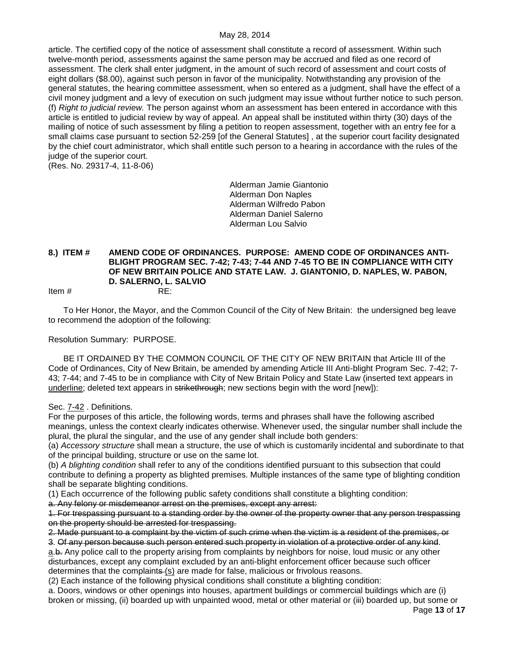article. The certified copy of the notice of assessment shall constitute a record of assessment. Within such twelve-month period, assessments against the same person may be accrued and filed as one record of assessment. The clerk shall enter judgment, in the amount of such record of assessment and court costs of eight dollars (\$8.00), against such person in favor of the municipality. Notwithstanding any provision of the general statutes, the hearing committee assessment, when so entered as a judgment, shall have the effect of a civil money judgment and a levy of execution on such judgment may issue without further notice to such person. (f) *Right to judicial review.* The person against whom an assessment has been entered in accordance with this article is entitled to judicial review by way of appeal. An appeal shall be instituted within thirty (30) days of the mailing of notice of such assessment by filing a petition to reopen assessment, together with an entry fee for a small claims case pursuant to section 52-259 [of the General Statutes] , at the superior court facility designated by the chief court administrator, which shall entitle such person to a hearing in accordance with the rules of the judge of the superior court.

(Res. No. 29317-4, 11-8-06)

Alderman Jamie Giantonio Alderman Don Naples Alderman Wilfredo Pabon Alderman Daniel Salerno Alderman Lou Salvio

### <span id="page-12-0"></span>**8.) ITEM # AMEND CODE OF ORDINANCES. PURPOSE: AMEND CODE OF ORDINANCES ANTI-BLIGHT PROGRAM SEC. 7-42; 7-43; 7-44 AND 7-45 TO BE IN COMPLIANCE WITH CITY OF NEW BRITAIN POLICE AND STATE LAW. J. GIANTONIO, D. NAPLES, W. PABON, D. SALERNO, L. SALVIO** Item # RE:

To Her Honor, the Mayor, and the Common Council of the City of New Britain: the undersigned beg leave to recommend the adoption of the following:

Resolution Summary: PURPOSE.

BE IT ORDAINED BY THE COMMON COUNCIL OF THE CITY OF NEW BRITAIN that Article III of the Code of Ordinances, City of New Britain, be amended by amending Article III Anti-blight Program Sec. 7-42; 7- 43; 7-44; and 7-45 to be in compliance with City of New Britain Policy and State Law (inserted text appears in underline; deleted text appears in strikethrough; new sections begin with the word [new]):

Sec. 7-42 . Definitions.

For the purposes of this article, the following words, terms and phrases shall have the following ascribed meanings, unless the context clearly indicates otherwise. Whenever used, the singular number shall include the plural, the plural the singular, and the use of any gender shall include both genders:

(a) *Accessory structure* shall mean a structure, the use of which is customarily incidental and subordinate to that of the principal building, structure or use on the same lot.

(b) *A blighting condition* shall refer to any of the conditions identified pursuant to this subsection that could contribute to defining a property as blighted premises. Multiple instances of the same type of blighting condition shall be separate blighting conditions.

(1) Each occurrence of the following public safety conditions shall constitute a blighting condition:

a. Any felony or misdemeanor arrest on the premises, except any arrest:

1. For trespassing pursuant to a standing order by the owner of the property owner that any person trespassing on the property should be arrested for trespassing.

2. Made pursuant to a complaint by the victim of such crime when the victim is a resident of the premises, or

3. Of any person because such person entered such property in violation of a protective order of any kind. a.b. Any police call to the property arising from complaints by neighbors for noise, loud music or any other disturbances, except any complaint excluded by an anti-blight enforcement officer because such officer determines that the complaints (s) are made for false, malicious or frivolous reasons.

(2) Each instance of the following physical conditions shall constitute a blighting condition:

a. Doors, windows or other openings into houses, apartment buildings or commercial buildings which are (i) broken or missing, (ii) boarded up with unpainted wood, metal or other material or (iii) boarded up, but some or

Page **13** of **17**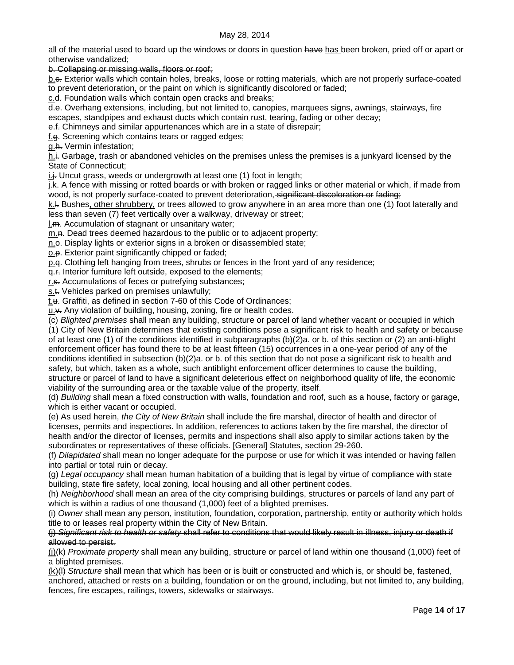all of the material used to board up the windows or doors in question have has been broken, pried off or apart or otherwise vandalized;

b. Collapsing or missing walls, floors or roof;

b.c. Exterior walls which contain holes, breaks, loose or rotting materials, which are not properly surface-coated to prevent deterioration, or the paint on which is significantly discolored or faded;

c.<del>d.</del> Foundation walls which contain open cracks and breaks;

d.e. Overhang extensions, including, but not limited to, canopies, marquees signs, awnings, stairways, fire escapes, standpipes and exhaust ducts which contain rust, tearing, fading or other decay;

e.f. Chimneys and similar appurtenances which are in a state of disrepair;

f.g. Screening which contains tears or ragged edges;

g.h. Vermin infestation;

h. i. Garbage, trash or abandoned vehicles on the premises unless the premises is a junkyard licensed by the State of Connecticut;

 $i.f.$  Uncut grass, weeds or undergrowth at least one (1) foot in length;

 $\frac{1}{k}$ . A fence with missing or rotted boards or with broken or ragged links or other material or which, if made from wood, is not properly surface-coated to prevent deterioration, significant discoloration or fading;

k.l. Bushes, other shrubbery, or trees allowed to grow anywhere in an area more than one (1) foot laterally and less than seven (7) feet vertically over a walkway, driveway or street;

l.m. Accumulation of stagnant or unsanitary water;

m.n. Dead trees deemed hazardous to the public or to adjacent property;

n.e. Display lights or exterior signs in a broken or disassembled state;

o.p. Exterior paint significantly chipped or faded;

p.q. Clothing left hanging from trees, shrubs or fences in the front yard of any residence;

q.f. Interior furniture left outside, exposed to the elements;

r.s. Accumulations of feces or putrefying substances;

s.t. Vehicles parked on premises unlawfully;

 $t$ . Graffiti, as defined in section 7-60 of this Code of Ordinances;

 $u.\star$ . Any violation of building, housing, zoning, fire or health codes.

(c) *Blighted premises* shall mean any building, structure or parcel of land whether vacant or occupied in which (1) City of New Britain determines that existing conditions pose a significant risk to health and safety or because of at least one (1) of the conditions identified in subparagraphs (b)(2)a. or b. of this section or (2) an anti-blight enforcement officer has found there to be at least fifteen (15) occurrences in a one-year period of any of the conditions identified in subsection (b)(2)a. or b. of this section that do not pose a significant risk to health and safety, but which, taken as a whole, such antiblight enforcement officer determines to cause the building,

structure or parcel of land to have a significant deleterious effect on neighborhood quality of life, the economic viability of the surrounding area or the taxable value of the property, itself.

(d) *Building* shall mean a fixed construction with walls, foundation and roof, such as a house, factory or garage, which is either vacant or occupied.

(e) As used herein, *the City of New Britain* shall include the fire marshal, director of health and director of licenses, permits and inspections. In addition, references to actions taken by the fire marshal, the director of health and/or the director of licenses, permits and inspections shall also apply to similar actions taken by the subordinates or representatives of these officials. [General] Statutes, section 29-260.

(f) *Dilapidated* shall mean no longer adequate for the purpose or use for which it was intended or having fallen into partial or total ruin or decay.

(g) *Legal occupancy* shall mean human habitation of a building that is legal by virtue of compliance with state building, state fire safety, local zoning, local housing and all other pertinent codes.

(h) *Neighborhood* shall mean an area of the city comprising buildings, structures or parcels of land any part of which is within a radius of one thousand (1,000) feet of a blighted premises.

(i) *Owner* shall mean any person, institution, foundation, corporation, partnership, entity or authority which holds title to or leases real property within the City of New Britain.

(j) *Significant risk to health or safety* shall refer to conditions that would likely result in illness, injury or death if allowed to persist.

(j)(k) *Proximate property* shall mean any building, structure or parcel of land within one thousand (1,000) feet of a blighted premises.

(k)(l) *Structure* shall mean that which has been or is built or constructed and which is, or should be, fastened, anchored, attached or rests on a building, foundation or on the ground, including, but not limited to, any building, fences, fire escapes, railings, towers, sidewalks or stairways.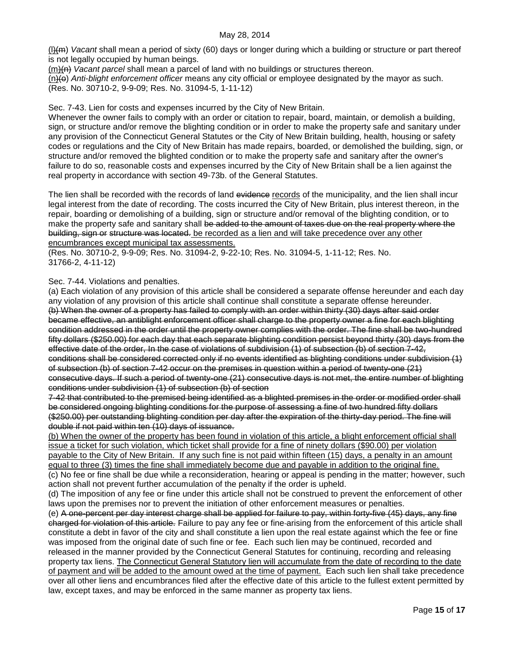(l)(m) *Vacant* shall mean a period of sixty (60) days or longer during which a building or structure or part thereof is not legally occupied by human beings.

(m)(n) *Vacant parcel* shall mean a parcel of land with no buildings or structures thereon.

(n)(o) *Anti-blight enforcement officer* means any city official or employee designated by the mayor as such.

(Res. No. 30710-2, 9-9-09; Res. No. 31094-5, 1-11-12)

Sec. 7-43. Lien for costs and expenses incurred by the City of New Britain.

Whenever the owner fails to comply with an order or citation to repair, board, maintain, or demolish a building, sign, or structure and/or remove the blighting condition or in order to make the property safe and sanitary under any provision of the Connecticut General Statutes or the City of New Britain building, health, housing or safety codes or regulations and the City of New Britain has made repairs, boarded, or demolished the building, sign, or structure and/or removed the blighted condition or to make the property safe and sanitary after the owner's failure to do so, reasonable costs and expenses incurred by the City of New Britain shall be a lien against the real property in accordance with section 49-73b. of the General Statutes.

The lien shall be recorded with the records of land evidence records of the municipality, and the lien shall incur legal interest from the date of recording. The costs incurred the City of New Britain, plus interest thereon, in the repair, boarding or demolishing of a building, sign or structure and/or removal of the blighting condition, or to make the property safe and sanitary shall be added to the amount of taxes due on the real property where the building, sign or structure was located. be recorded as a lien and will take precedence over any other encumbrances except municipal tax assessments.

(Res. No. 30710-2, 9-9-09; Res. No. 31094-2, 9-22-10; Res. No. 31094-5, 1-11-12; Res. No. 31766-2, 4-11-12)

Sec. 7-44. Violations and penalties.

(a) Each violation of any provision of this article shall be considered a separate offense hereunder and each day any violation of any provision of this article shall continue shall constitute a separate offense hereunder. (b) When the owner of a property has failed to comply with an order within thirty (30) days after said order became effective, an antiblight enforcement officer shall charge to the property owner a fine for each blighting condition addressed in the order until the property owner complies with the order. The fine shall be two-hundred fifty dollars (\$250.00) for each day that each separate blighting condition persist beyond thirty (30) days from the effective date of the order, In the case of violations of subdivision (1) of subsection (b) of section 7-42, conditions shall be considered corrected only if no events identified as blighting conditions under subdivision (1) of subsection (b) of section 7-42 occur on the premises in question within a period of twenty-one (21) consecutive days. If such a period of twenty-one (21) consecutive days is not met, the entire number of blighting conditions under subdivision (1) of subsection (b) of section

7-42 that contributed to the premised being identified as a blighted premises in the order or modified order shall be considered ongoing blighting conditions for the purpose of assessing a fine of two hundred fifty dollars (\$250.00) per outstanding blighting condition per day after the expiration of the thirty-day period. The fine will double if not paid within ten (10) days of issuance.

(b) When the owner of the property has been found in violation of this article, a blight enforcement official shall issue a ticket for such violation, which ticket shall provide for a fine of ninety dollars (\$90.00) per violation payable to the City of New Britain. If any such fine is not paid within fifteen (15) days, a penalty in an amount equal to three (3) times the fine shall immediately become due and payable in addition to the original fine. (c) No fee or fine shall be due while a reconsideration, hearing or appeal is pending in the matter; however, such

action shall not prevent further accumulation of the penalty if the order is upheld. (d) The imposition of any fee or fine under this article shall not be construed to prevent the enforcement of other laws upon the premises nor to prevent the initiation of other enforcement measures or penalties.

(e) A one-percent per day interest charge shall be applied for failure to pay, within forty-five (45) days, any fine charged for violation of this article. Failure to pay any fee or fine arising from the enforcement of this article shall constitute a debt in favor of the city and shall constitute a lien upon the real estate against which the fee or fine was imposed from the original date of such fine or fee. Each such lien may be continued, recorded and released in the manner provided by the Connecticut General Statutes for continuing, recording and releasing property tax liens. The Connecticut General Statutory lien will accumulate from the date of recording to the date of payment and will be added to the amount owed at the time of payment. Each such lien shall take precedence over all other liens and encumbrances filed after the effective date of this article to the fullest extent permitted by law, except taxes, and may be enforced in the same manner as property tax liens.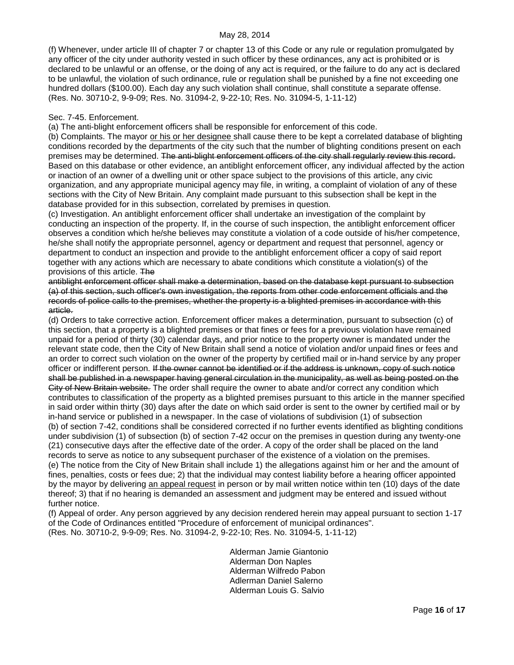(f) Whenever, under article III of chapter 7 or chapter 13 of this Code or any rule or regulation promulgated by any officer of the city under authority vested in such officer by these ordinances, any act is prohibited or is declared to be unlawful or an offense, or the doing of any act is required, or the failure to do any act is declared to be unlawful, the violation of such ordinance, rule or regulation shall be punished by a fine not exceeding one hundred dollars (\$100.00). Each day any such violation shall continue, shall constitute a separate offense. (Res. No. 30710-2, 9-9-09; Res. No. 31094-2, 9-22-10; Res. No. 31094-5, 1-11-12)

### Sec. 7-45. Enforcement.

(a) The anti-blight enforcement officers shall be responsible for enforcement of this code.

(b) Complaints. The mayor or his or her designee shall cause there to be kept a correlated database of blighting conditions recorded by the departments of the city such that the number of blighting conditions present on each premises may be determined. The anti-blight enforcement officers of the city shall regularly review this record. Based on this database or other evidence, an antiblight enforcement officer, any individual affected by the action or inaction of an owner of a dwelling unit or other space subject to the provisions of this article, any civic organization, and any appropriate municipal agency may file, in writing, a complaint of violation of any of these sections with the City of New Britain. Any complaint made pursuant to this subsection shall be kept in the database provided for in this subsection, correlated by premises in question.

(c) Investigation. An antiblight enforcement officer shall undertake an investigation of the complaint by conducting an inspection of the property. If, in the course of such inspection, the antiblight enforcement officer observes a condition which he/she believes may constitute a violation of a code outside of his/her competence, he/she shall notify the appropriate personnel, agency or department and request that personnel, agency or department to conduct an inspection and provide to the antiblight enforcement officer a copy of said report together with any actions which are necessary to abate conditions which constitute a violation(s) of the provisions of this article. The

antiblight enforcement officer shall make a determination, based on the database kept pursuant to subsection (a) of this section, such officer's own investigation, the reports from other code enforcement officials and the records of police calls to the premises, whether the property is a blighted premises in accordance with this article.

(d) Orders to take corrective action. Enforcement officer makes a determination, pursuant to subsection (c) of this section, that a property is a blighted premises or that fines or fees for a previous violation have remained unpaid for a period of thirty (30) calendar days, and prior notice to the property owner is mandated under the relevant state code, then the City of New Britain shall send a notice of violation and/or unpaid fines or fees and an order to correct such violation on the owner of the property by certified mail or in-hand service by any proper officer or indifferent person. If the owner cannot be identified or if the address is unknown, copy of such notice shall be published in a newspaper having general circulation in the municipality, as well as being posted on the City of New Britain website. The order shall require the owner to abate and/or correct any condition which contributes to classification of the property as a blighted premises pursuant to this article in the manner specified in said order within thirty (30) days after the date on which said order is sent to the owner by certified mail or by in-hand service or published in a newspaper. In the case of violations of subdivision (1) of subsection (b) of section 7-42, conditions shall be considered corrected if no further events identified as blighting conditions under subdivision (1) of subsection (b) of section 7-42 occur on the premises in question during any twenty-one (21) consecutive days after the effective date of the order. A copy of the order shall be placed on the land records to serve as notice to any subsequent purchaser of the existence of a violation on the premises. (e) The notice from the City of New Britain shall include 1) the allegations against him or her and the amount of fines, penalties, costs or fees due; 2) that the individual may contest liability before a hearing officer appointed by the mayor by delivering an appeal request in person or by mail written notice within ten (10) days of the date thereof; 3) that if no hearing is demanded an assessment and judgment may be entered and issued without further notice.

(f) Appeal of order. Any person aggrieved by any decision rendered herein may appeal pursuant to section 1-17 of the Code of Ordinances entitled "Procedure of enforcement of municipal ordinances". (Res. No. 30710-2, 9-9-09; Res. No. 31094-2, 9-22-10; Res. No. 31094-5, 1-11-12)

> Alderman Jamie Giantonio Alderman Don Naples Alderman Wilfredo Pabon Adlerman Daniel Salerno Alderman Louis G. Salvio